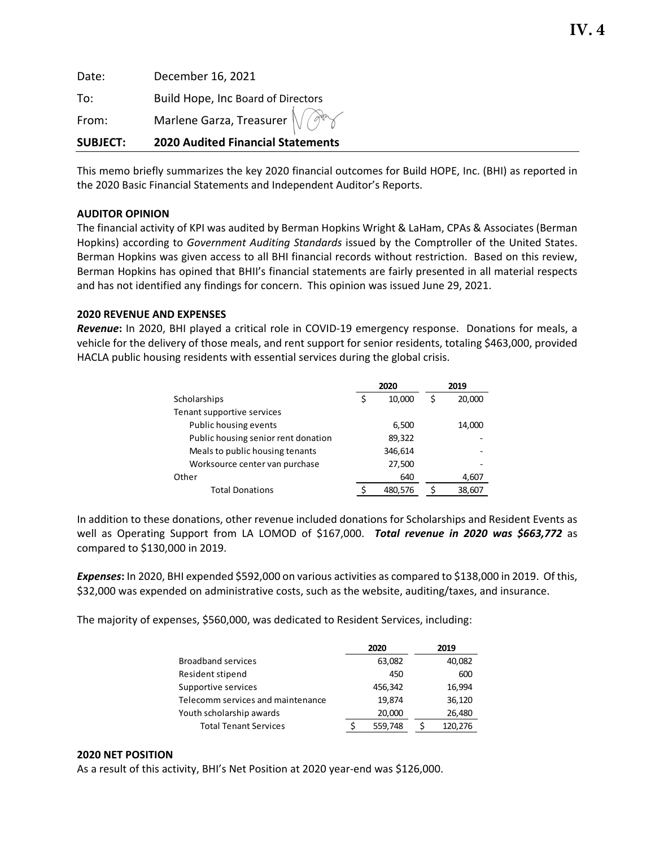| <b>SUBJECT:</b> | <b>2020 Audited Financial Statements</b>   |
|-----------------|--------------------------------------------|
| From:           | Marlene Garza, Treasurer $\sqrt{\sqrt{2}}$ |
| To:             | Build Hope, Inc Board of Directors         |
| Date:           | December 16, 2021                          |

This memo briefly summarizes the key 2020 financial outcomes for Build HOPE, Inc. (BHI) as reported in the 2020 Basic Financial Statements and Independent Auditor's Reports.

## **AUDITOR OPINION**

The financial activity of KPI was audited by Berman Hopkins Wright & LaHam, CPAs & Associates (Berman Hopkins) according to *Government Auditing Standards* issued by the Comptroller of the United States. Berman Hopkins was given access to all BHI financial records without restriction. Based on this review, Berman Hopkins has opined that BHII's financial statements are fairly presented in all material respects and has not identified any findings for concern. This opinion was issued June 29, 2021.

#### **2020 REVENUE AND EXPENSES**

*Revenue***:** In 2020, BHI played a critical role in COVID‐19 emergency response. Donations for meals, a vehicle for the delivery of those meals, and rent support for senior residents, totaling \$463,000, provided HACLA public housing residents with essential services during the global crisis.

|                                     | 2020 |         | 2019 |        |
|-------------------------------------|------|---------|------|--------|
| Scholarships                        | \$   | 10.000  | ς    | 20,000 |
| Tenant supportive services          |      |         |      |        |
| Public housing events               |      | 6,500   |      | 14,000 |
| Public housing senior rent donation |      | 89,322  |      |        |
| Meals to public housing tenants     |      | 346,614 |      |        |
| Worksource center van purchase      |      | 27,500  |      |        |
| Other                               |      | 640     |      | 4,607  |
| <b>Total Donations</b>              |      | 480.576 |      | 38,607 |

In addition to these donations, other revenue included donations for Scholarships and Resident Events as well as Operating Support from LA LOMOD of \$167,000. *Total revenue in 2020 was \$663,772* as compared to \$130,000 in 2019.

*Expenses***:** In 2020, BHI expended \$592,000 on various activities as compared to \$138,000 in 2019. Of this, \$32,000 was expended on administrative costs, such as the website, auditing/taxes, and insurance.

The majority of expenses, \$560,000, was dedicated to Resident Services, including:

|                                   | 2020    | 2019    |
|-----------------------------------|---------|---------|
| <b>Broadband services</b>         | 63,082  | 40,082  |
| Resident stipend                  | 450     | 600     |
| Supportive services               | 456,342 | 16,994  |
| Telecomm services and maintenance | 19,874  | 36,120  |
| Youth scholarship awards          | 20,000  | 26,480  |
| <b>Total Tenant Services</b>      | 559,748 | 120.276 |

#### **2020 NET POSITION**

As a result of this activity, BHI's Net Position at 2020 year-end was \$126,000.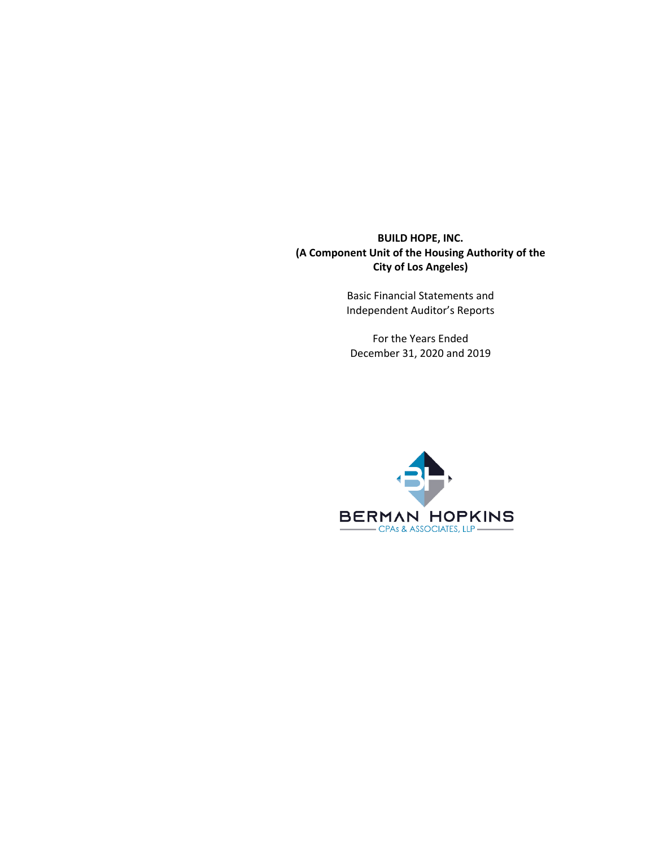# **BUILD HOPE, INC. (A Component Unit of the Housing Authority of the City of Los Angeles)**

Basic Financial Statements and Independent Auditor's Reports

For the Years Ended December 31, 2020 and 2019

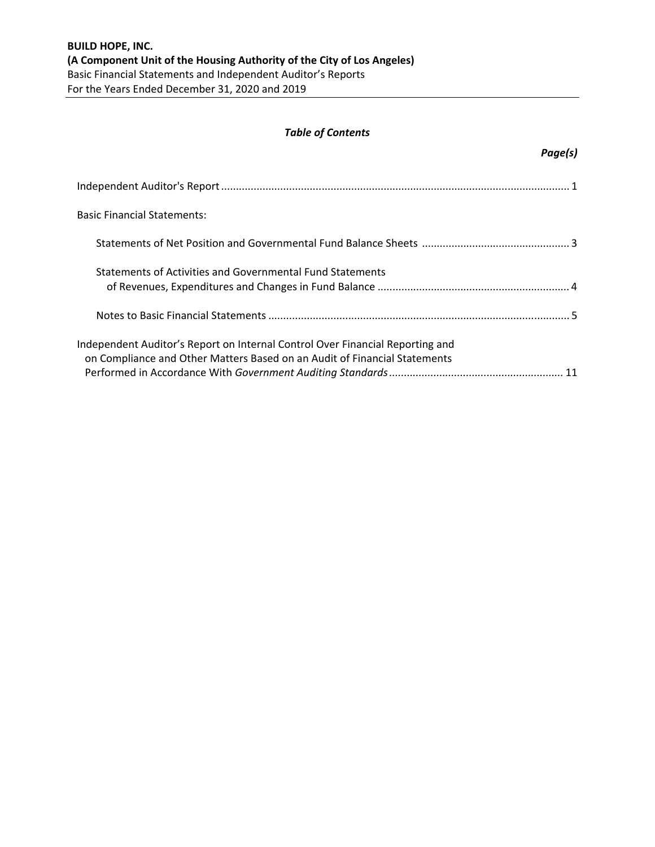# *Table of Contents*

# *Page(s)*

| <b>Basic Financial Statements:</b>                                                                                                                         |
|------------------------------------------------------------------------------------------------------------------------------------------------------------|
|                                                                                                                                                            |
| Statements of Activities and Governmental Fund Statements                                                                                                  |
|                                                                                                                                                            |
| Independent Auditor's Report on Internal Control Over Financial Reporting and<br>on Compliance and Other Matters Based on an Audit of Financial Statements |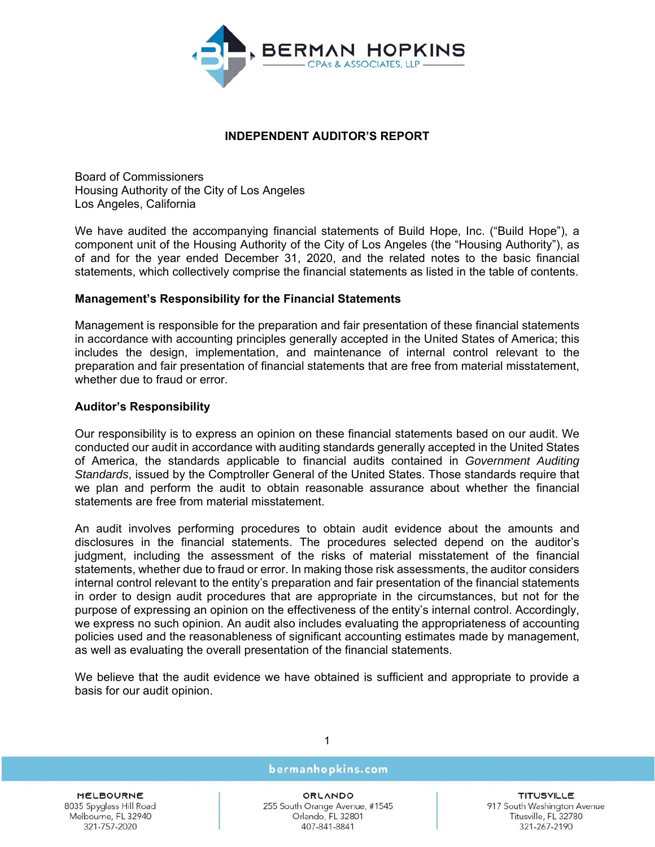

# **INDEPENDENT AUDITOR'S REPORT**

Board of Commissioners Housing Authority of the City of Los Angeles Los Angeles, California

We have audited the accompanying financial statements of Build Hope, Inc. ("Build Hope"), a component unit of the Housing Authority of the City of Los Angeles (the "Housing Authority"), as of and for the year ended December 31, 2020, and the related notes to the basic financial statements, which collectively comprise the financial statements as listed in the table of contents.

# **Management's Responsibility for the Financial Statements**

Management is responsible for the preparation and fair presentation of these financial statements in accordance with accounting principles generally accepted in the United States of America; this includes the design, implementation, and maintenance of internal control relevant to the preparation and fair presentation of financial statements that are free from material misstatement, whether due to fraud or error.

# **Auditor's Responsibility**

Our responsibility is to express an opinion on these financial statements based on our audit. We conducted our audit in accordance with auditing standards generally accepted in the United States of America, the standards applicable to financial audits contained in *Government Auditing Standards*, issued by the Comptroller General of the United States. Those standards require that we plan and perform the audit to obtain reasonable assurance about whether the financial statements are free from material misstatement.

An audit involves performing procedures to obtain audit evidence about the amounts and disclosures in the financial statements. The procedures selected depend on the auditor's judgment, including the assessment of the risks of material misstatement of the financial statements, whether due to fraud or error. In making those risk assessments, the auditor considers internal control relevant to the entity's preparation and fair presentation of the financial statements in order to design audit procedures that are appropriate in the circumstances, but not for the purpose of expressing an opinion on the effectiveness of the entity's internal control. Accordingly, we express no such opinion. An audit also includes evaluating the appropriateness of accounting policies used and the reasonableness of significant accounting estimates made by management, as well as evaluating the overall presentation of the financial statements.

We believe that the audit evidence we have obtained is sufficient and appropriate to provide a basis for our audit opinion.

**MELBOURNE** 8035 Spyglass Hill Road Melbourne, FL 32940 321-757-2020

## bermanhopkins.com

1

**ORLANDO** 255 South Orange Avenue, #1545 Orlando, FL 32801 407-841-8841

**TITUSVILLE** 917 South Washington Avenue Titusville, FL 32780 321-267-2190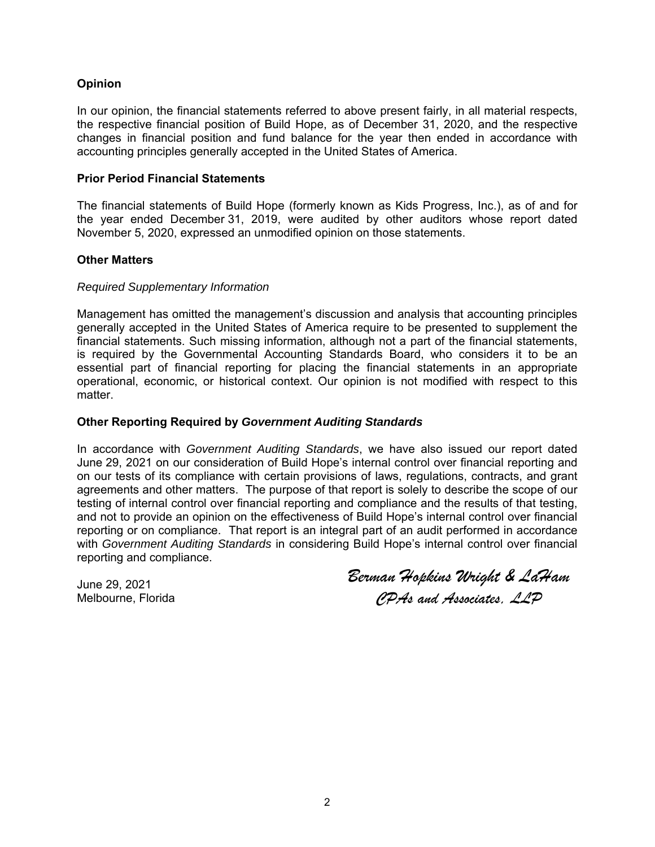# **Opinion**

In our opinion, the financial statements referred to above present fairly, in all material respects, the respective financial position of Build Hope, as of December 31, 2020, and the respective changes in financial position and fund balance for the year then ended in accordance with accounting principles generally accepted in the United States of America.

#### **Prior Period Financial Statements**

The financial statements of Build Hope (formerly known as Kids Progress, Inc.), as of and for the year ended December 31, 2019, were audited by other auditors whose report dated November 5, 2020, expressed an unmodified opinion on those statements.

## **Other Matters**

#### *Required Supplementary Information*

Management has omitted the management's discussion and analysis that accounting principles generally accepted in the United States of America require to be presented to supplement the financial statements. Such missing information, although not a part of the financial statements, is required by the Governmental Accounting Standards Board, who considers it to be an essential part of financial reporting for placing the financial statements in an appropriate operational, economic, or historical context. Our opinion is not modified with respect to this matter.

#### **Other Reporting Required by** *Government Auditing Standards*

In accordance with *Government Auditing Standards*, we have also issued our report dated June 29, 2021 on our consideration of Build Hope's internal control over financial reporting and on our tests of its compliance with certain provisions of laws, regulations, contracts, and grant agreements and other matters. The purpose of that report is solely to describe the scope of our testing of internal control over financial reporting and compliance and the results of that testing, and not to provide an opinion on the effectiveness of Build Hope's internal control over financial reporting or on compliance. That report is an integral part of an audit performed in accordance with *Government Auditing Standards* in considering Build Hope's internal control over financial reporting and compliance.

June 29, 2021 Melbourne, Florida

*Berman Hopkins Wright & LaHam CPAs and Associates, LLP*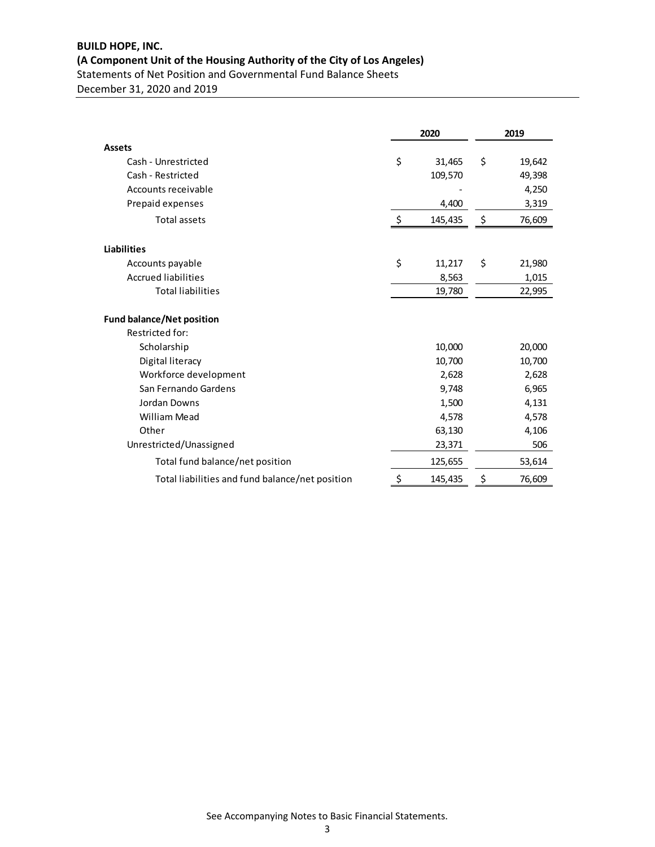# **BUILD HOPE, INC. (A Component Unit of the Housing Authority of the City of Los Angeles)**  Statements of Net Position and Governmental Fund Balance Sheets December 31, 2020 and 2019

|                                                 | 2020          |         | 2019 |        |
|-------------------------------------------------|---------------|---------|------|--------|
| <b>Assets</b>                                   |               |         |      |        |
| Cash - Unrestricted                             | \$            | 31,465  | \$   | 19,642 |
| Cash - Restricted                               |               | 109,570 |      | 49,398 |
| Accounts receivable                             |               |         |      | 4,250  |
| Prepaid expenses                                |               | 4,400   |      | 3,319  |
| <b>Total assets</b>                             | $\frac{1}{2}$ | 145,435 | \$   | 76,609 |
| <b>Liabilities</b>                              |               |         |      |        |
| Accounts payable                                | \$            | 11,217  | \$   | 21,980 |
| <b>Accrued liabilities</b>                      |               | 8,563   |      | 1,015  |
| <b>Total liabilities</b>                        |               | 19,780  |      | 22,995 |
| <b>Fund balance/Net position</b>                |               |         |      |        |
| Restricted for:                                 |               |         |      |        |
| Scholarship                                     |               | 10,000  |      | 20,000 |
| Digital literacy                                |               | 10,700  |      | 10,700 |
| Workforce development                           |               | 2,628   |      | 2,628  |
| San Fernando Gardens                            |               | 9,748   |      | 6,965  |
| Jordan Downs                                    |               | 1,500   |      | 4,131  |
| <b>William Mead</b>                             |               | 4,578   |      | 4,578  |
| Other                                           |               | 63,130  |      | 4,106  |
| Unrestricted/Unassigned                         |               | 23,371  |      | 506    |
| Total fund balance/net position                 |               | 125,655 |      | 53,614 |
| Total liabilities and fund balance/net position | \$            | 145,435 | \$   | 76,609 |

See Accompanying Notes to Basic Financial Statements.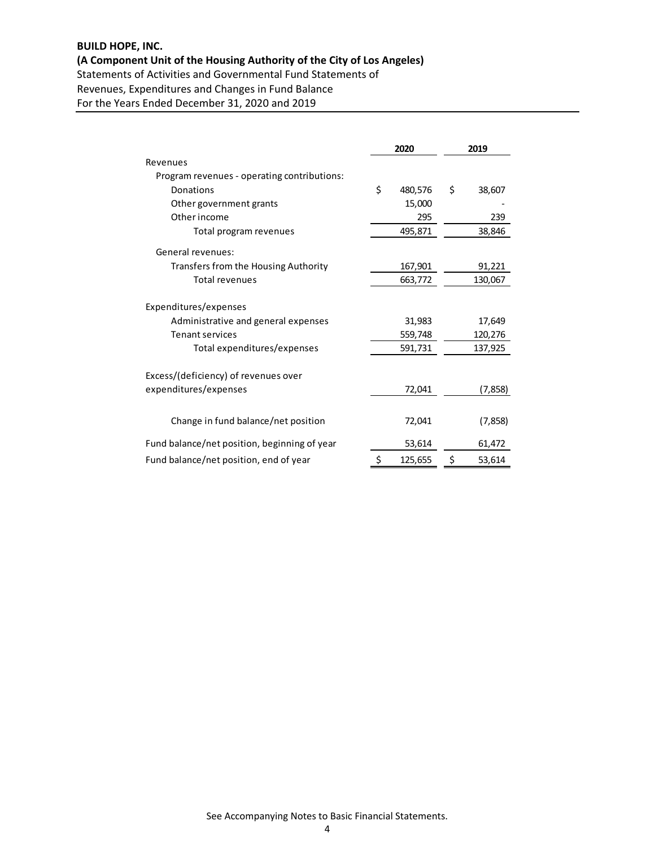#### **BUILD HOPE, INC.**

# **(A Component Unit of the Housing Authority of the City of Los Angeles)**

Statements of Activities and Governmental Fund Statements of

Revenues, Expenditures and Changes in Fund Balance

For the Years Ended December 31, 2020 and 2019

|                                              | 2020 |         | 2019 |         |
|----------------------------------------------|------|---------|------|---------|
| Revenues                                     |      |         |      |         |
| Program revenues - operating contributions:  |      |         |      |         |
| Donations                                    | \$   | 480,576 | \$   | 38,607  |
| Other government grants                      |      | 15,000  |      |         |
| Other income                                 |      | 295     |      | 239     |
| Total program revenues                       |      | 495,871 |      | 38,846  |
| General revenues:                            |      |         |      |         |
| Transfers from the Housing Authority         |      | 167,901 |      | 91,221  |
| <b>Total revenues</b>                        |      | 663,772 |      | 130,067 |
| Expenditures/expenses                        |      |         |      |         |
| Administrative and general expenses          |      | 31,983  |      | 17,649  |
| <b>Tenant services</b>                       |      | 559,748 |      | 120,276 |
| Total expenditures/expenses                  |      | 591,731 |      | 137,925 |
| Excess/(deficiency) of revenues over         |      |         |      |         |
| expenditures/expenses                        |      | 72,041  |      | (7,858) |
| Change in fund balance/net position          |      | 72,041  |      | (7,858) |
| Fund balance/net position, beginning of year |      | 53,614  |      | 61,472  |
| Fund balance/net position, end of year       | \$   | 125,655 | \$   | 53,614  |

See Accompanying Notes to Basic Financial Statements.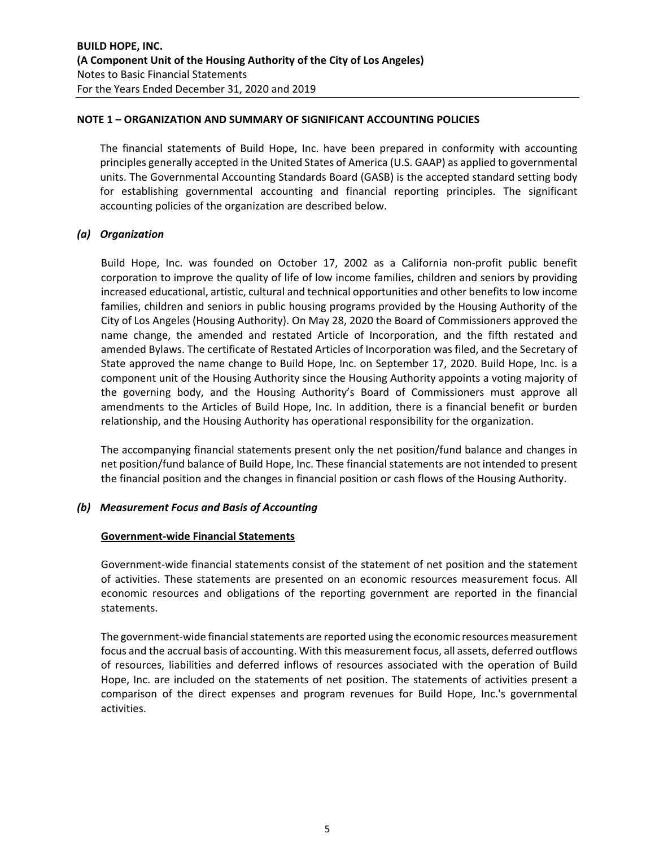The financial statements of Build Hope, Inc. have been prepared in conformity with accounting principles generally accepted in the United States of America (U.S. GAAP) as applied to governmental units. The Governmental Accounting Standards Board (GASB) is the accepted standard setting body for establishing governmental accounting and financial reporting principles. The significant accounting policies of the organization are described below.

#### *(a) Organization*

Build Hope, Inc. was founded on October 17, 2002 as a California non‐profit public benefit corporation to improve the quality of life of low income families, children and seniors by providing increased educational, artistic, cultural and technical opportunities and other benefits to low income families, children and seniors in public housing programs provided by the Housing Authority of the City of Los Angeles (Housing Authority). On May 28, 2020 the Board of Commissioners approved the name change, the amended and restated Article of Incorporation, and the fifth restated and amended Bylaws. The certificate of Restated Articles of Incorporation was filed, and the Secretary of State approved the name change to Build Hope, Inc. on September 17, 2020. Build Hope, Inc. is a component unit of the Housing Authority since the Housing Authority appoints a voting majority of the governing body, and the Housing Authority's Board of Commissioners must approve all amendments to the Articles of Build Hope, Inc. In addition, there is a financial benefit or burden relationship, and the Housing Authority has operational responsibility for the organization.

The accompanying financial statements present only the net position/fund balance and changes in net position/fund balance of Build Hope, Inc. These financial statements are not intended to present the financial position and the changes in financial position or cash flows of the Housing Authority.

## *(b) Measurement Focus and Basis of Accounting*

#### **Government‐wide Financial Statements**

Government‐wide financial statements consist of the statement of net position and the statement of activities. These statements are presented on an economic resources measurement focus. All economic resources and obligations of the reporting government are reported in the financial statements.

The government-wide financial statements are reported using the economic resources measurement focus and the accrual basis of accounting. With this measurement focus, all assets, deferred outflows of resources, liabilities and deferred inflows of resources associated with the operation of Build Hope, Inc. are included on the statements of net position. The statements of activities present a comparison of the direct expenses and program revenues for Build Hope, Inc.'s governmental activities.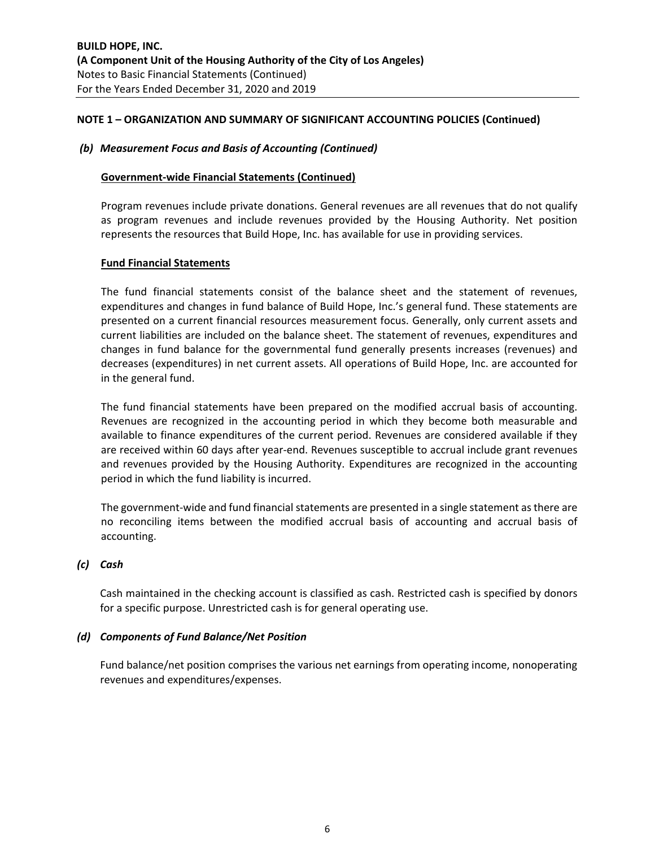#### *(b) Measurement Focus and Basis of Accounting (Continued)*

#### **Government‐wide Financial Statements (Continued)**

Program revenues include private donations. General revenues are all revenues that do not qualify as program revenues and include revenues provided by the Housing Authority. Net position represents the resources that Build Hope, Inc. has available for use in providing services.

#### **Fund Financial Statements**

The fund financial statements consist of the balance sheet and the statement of revenues, expenditures and changes in fund balance of Build Hope, Inc.'s general fund. These statements are presented on a current financial resources measurement focus. Generally, only current assets and current liabilities are included on the balance sheet. The statement of revenues, expenditures and changes in fund balance for the governmental fund generally presents increases (revenues) and decreases (expenditures) in net current assets. All operations of Build Hope, Inc. are accounted for in the general fund.

The fund financial statements have been prepared on the modified accrual basis of accounting. Revenues are recognized in the accounting period in which they become both measurable and available to finance expenditures of the current period. Revenues are considered available if they are received within 60 days after year-end. Revenues susceptible to accrual include grant revenues and revenues provided by the Housing Authority. Expenditures are recognized in the accounting period in which the fund liability is incurred.

The government‐wide and fund financial statements are presented in a single statement as there are no reconciling items between the modified accrual basis of accounting and accrual basis of accounting.

## *(c) Cash*

Cash maintained in the checking account is classified as cash. Restricted cash is specified by donors for a specific purpose. Unrestricted cash is for general operating use.

#### *(d) Components of Fund Balance/Net Position*

Fund balance/net position comprises the various net earnings from operating income, nonoperating revenues and expenditures/expenses.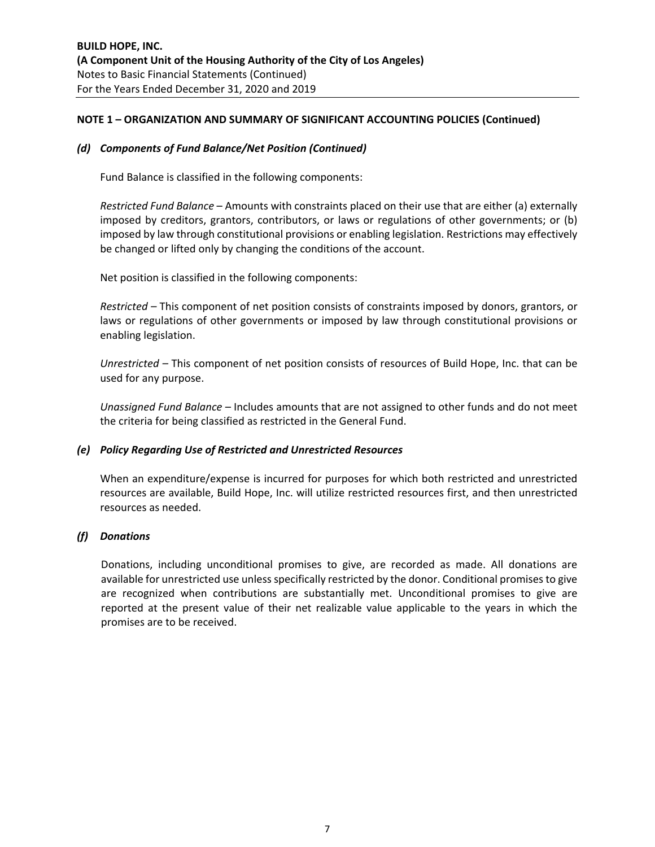#### *(d) Components of Fund Balance/Net Position (Continued)*

Fund Balance is classified in the following components:

*Restricted Fund Balance* – Amounts with constraints placed on their use that are either (a) externally imposed by creditors, grantors, contributors, or laws or regulations of other governments; or (b) imposed by law through constitutional provisions or enabling legislation. Restrictions may effectively be changed or lifted only by changing the conditions of the account.

Net position is classified in the following components:

*Restricted –* This component of net position consists of constraints imposed by donors, grantors, or laws or regulations of other governments or imposed by law through constitutional provisions or enabling legislation.

*Unrestricted –* This component of net position consists of resources of Build Hope, Inc. that can be used for any purpose.

*Unassigned Fund Balance* – Includes amounts that are not assigned to other funds and do not meet the criteria for being classified as restricted in the General Fund.

## *(e) Policy Regarding Use of Restricted and Unrestricted Resources*

When an expenditure/expense is incurred for purposes for which both restricted and unrestricted resources are available, Build Hope, Inc. will utilize restricted resources first, and then unrestricted resources as needed.

# *(f) Donations*

Donations, including unconditional promises to give, are recorded as made. All donations are available for unrestricted use unless specifically restricted by the donor. Conditional promises to give are recognized when contributions are substantially met. Unconditional promises to give are reported at the present value of their net realizable value applicable to the years in which the promises are to be received.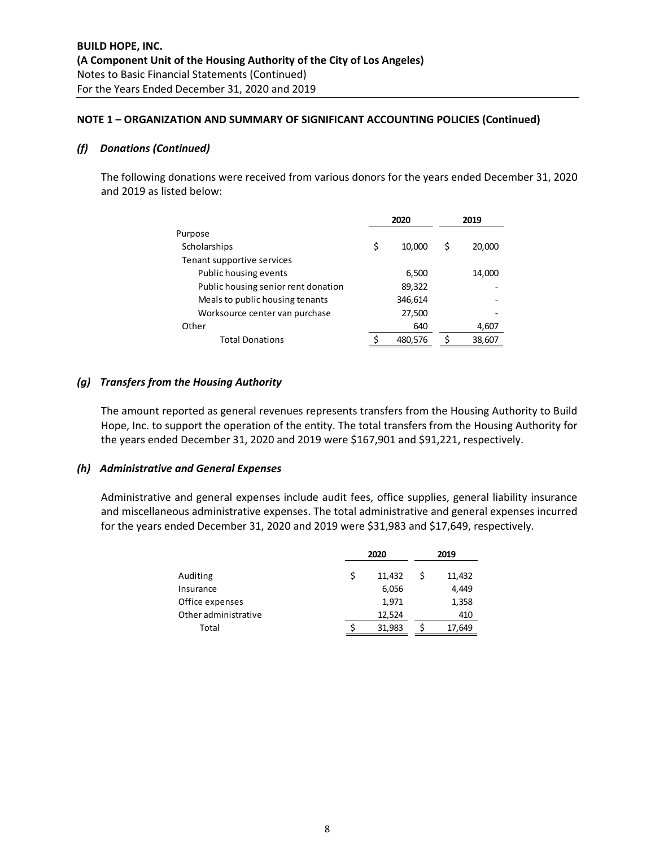## *(f) Donations (Continued)*

The following donations were received from various donors for the years ended December 31, 2020 and 2019 as listed below:

|                                     | 2020 |         | 2019         |
|-------------------------------------|------|---------|--------------|
| Purpose                             |      |         |              |
| Scholarships                        | \$   | 10,000  | \$<br>20,000 |
| Tenant supportive services          |      |         |              |
| Public housing events               |      | 6,500   | 14,000       |
| Public housing senior rent donation |      | 89,322  |              |
| Meals to public housing tenants     |      | 346,614 |              |
| Worksource center van purchase      |      | 27,500  |              |
| Other                               |      | 640     | 4,607        |
| <b>Total Donations</b>              | \$   | 480.576 | 38,607       |

# *(g) Transfers from the Housing Authority*

The amount reported as general revenues represents transfers from the Housing Authority to Build Hope, Inc. to support the operation of the entity. The total transfers from the Housing Authority for the years ended December 31, 2020 and 2019 were \$167,901 and \$91,221, respectively.

## *(h) Administrative and General Expenses*

Administrative and general expenses include audit fees, office supplies, general liability insurance and miscellaneous administrative expenses. The total administrative and general expenses incurred for the years ended December 31, 2020 and 2019 were \$31,983 and \$17,649, respectively.

|                      | 2020 |        | 2019 |        |
|----------------------|------|--------|------|--------|
| Auditing             | S    | 11,432 |      | 11,432 |
| Insurance            |      | 6,056  |      | 4,449  |
| Office expenses      |      | 1,971  |      | 1,358  |
| Other administrative |      | 12,524 |      | 410    |
| Total                |      | 31,983 |      | 17,649 |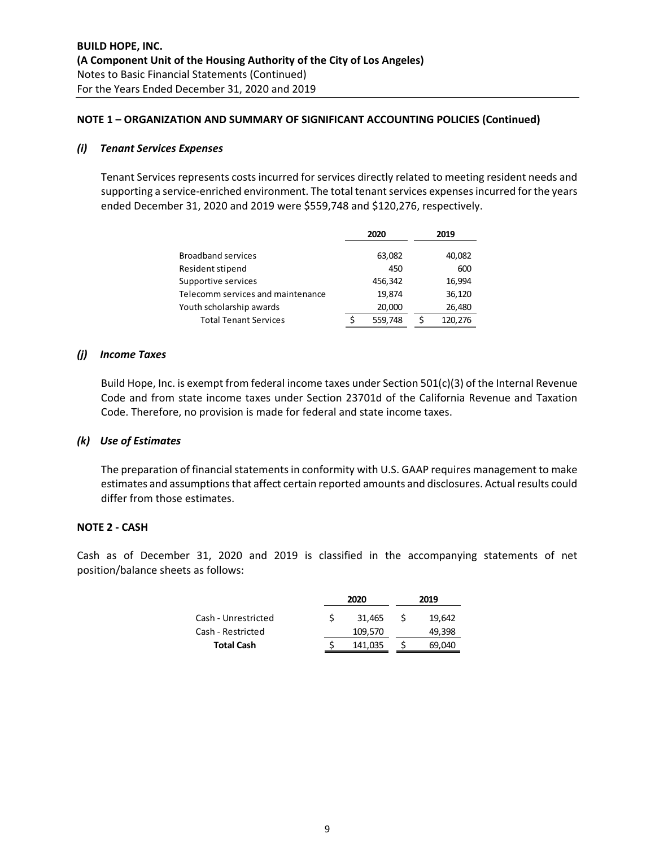#### *(i) Tenant Services Expenses*

Tenant Services represents costs incurred for services directly related to meeting resident needs and supporting a service-enriched environment. The total tenant services expenses incurred for the years ended December 31, 2020 and 2019 were \$559,748 and \$120,276, respectively.

|                                   | 2020 |         | 2019    |
|-----------------------------------|------|---------|---------|
| <b>Broadband services</b>         |      | 63,082  | 40,082  |
| Resident stipend                  |      | 450     | 600     |
| Supportive services               |      | 456,342 | 16,994  |
| Telecomm services and maintenance |      | 19,874  | 36,120  |
| Youth scholarship awards          |      | 20,000  | 26,480  |
| <b>Total Tenant Services</b>      |      | 559,748 | 120,276 |

#### *(j) Income Taxes*

Build Hope, Inc. is exempt from federal income taxes under Section 501(c)(3) of the Internal Revenue Code and from state income taxes under Section 23701d of the California Revenue and Taxation Code. Therefore, no provision is made for federal and state income taxes.

## *(k) Use of Estimates*

The preparation of financial statements in conformity with U.S. GAAP requires management to make estimates and assumptions that affect certain reported amounts and disclosures. Actual results could differ from those estimates.

#### **NOTE 2 ‐ CASH**

Cash as of December 31, 2020 and 2019 is classified in the accompanying statements of net position/balance sheets as follows:

|                     | 2020    | 2019   |
|---------------------|---------|--------|
| Cash - Unrestricted | 31.465  | 19.642 |
| Cash - Restricted   | 109,570 | 49,398 |
| <b>Total Cash</b>   | 141,035 | 69,040 |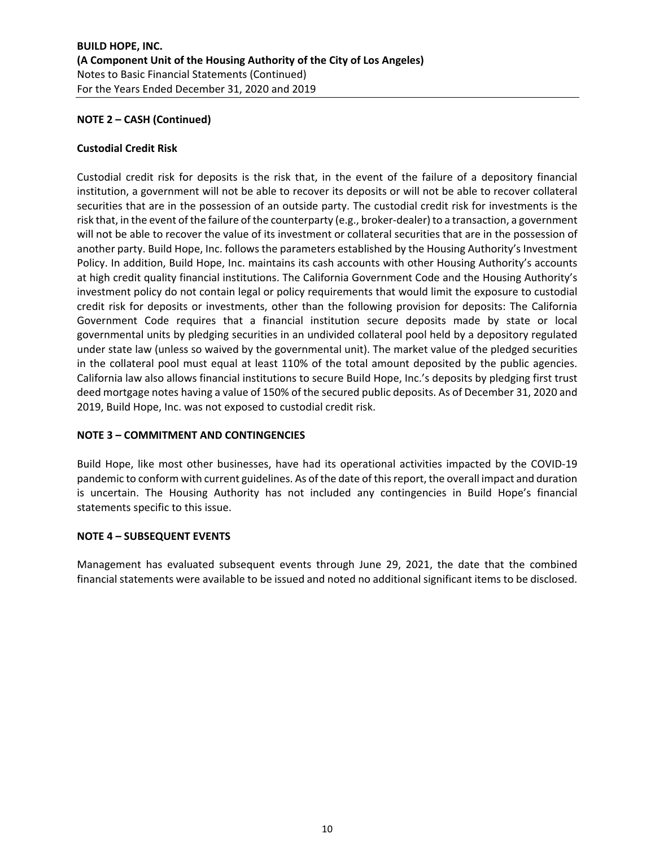#### **NOTE 2 – CASH (Continued)**

#### **Custodial Credit Risk**

Custodial credit risk for deposits is the risk that, in the event of the failure of a depository financial institution, a government will not be able to recover its deposits or will not be able to recover collateral securities that are in the possession of an outside party. The custodial credit risk for investments is the risk that, in the event of the failure of the counterparty (e.g., broker‐dealer) to a transaction, a government will not be able to recover the value of its investment or collateral securities that are in the possession of another party. Build Hope, Inc. follows the parameters established by the Housing Authority's Investment Policy. In addition, Build Hope, Inc. maintains its cash accounts with other Housing Authority's accounts at high credit quality financial institutions. The California Government Code and the Housing Authority's investment policy do not contain legal or policy requirements that would limit the exposure to custodial credit risk for deposits or investments, other than the following provision for deposits: The California Government Code requires that a financial institution secure deposits made by state or local governmental units by pledging securities in an undivided collateral pool held by a depository regulated under state law (unless so waived by the governmental unit). The market value of the pledged securities in the collateral pool must equal at least 110% of the total amount deposited by the public agencies. California law also allows financial institutions to secure Build Hope, Inc.'s deposits by pledging first trust deed mortgage notes having a value of 150% of the secured public deposits. As of December 31, 2020 and 2019, Build Hope, Inc. was not exposed to custodial credit risk.

## **NOTE 3 – COMMITMENT AND CONTINGENCIES**

Build Hope, like most other businesses, have had its operational activities impacted by the COVID-19 pandemic to conform with current guidelines. As of the date of this report, the overall impact and duration is uncertain. The Housing Authority has not included any contingencies in Build Hope's financial statements specific to this issue.

## **NOTE 4 – SUBSEQUENT EVENTS**

Management has evaluated subsequent events through June 29, 2021, the date that the combined financial statements were available to be issued and noted no additional significant items to be disclosed.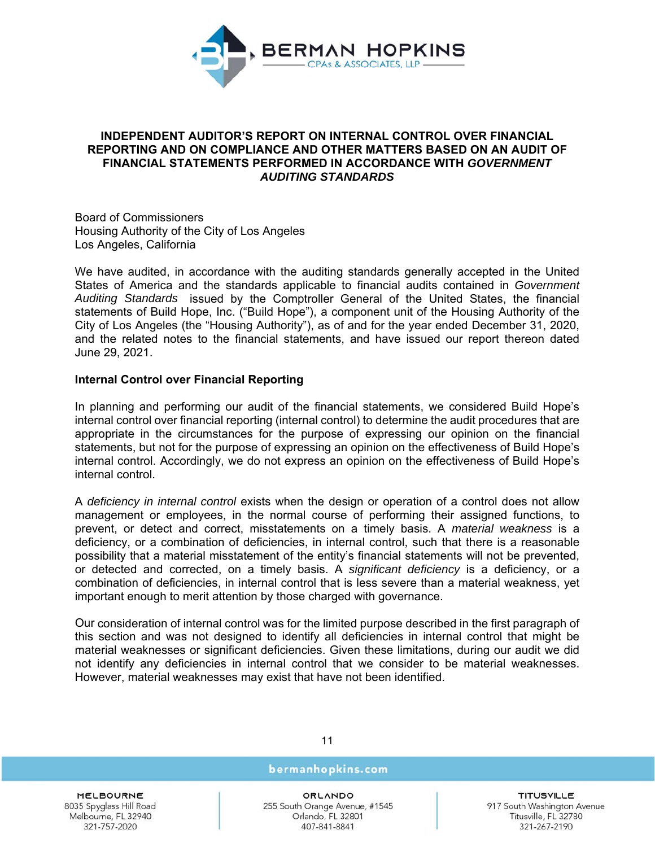

# **INDEPENDENT AUDITOR'S REPORT ON INTERNAL CONTROL OVER FINANCIAL REPORTING AND ON COMPLIANCE AND OTHER MATTERS BASED ON AN AUDIT OF FINANCIAL STATEMENTS PERFORMED IN ACCORDANCE WITH** *GOVERNMENT AUDITING STANDARDS*

Board of Commissioners Housing Authority of the City of Los Angeles Los Angeles, California

We have audited, in accordance with the auditing standards generally accepted in the United States of America and the standards applicable to financial audits contained in *Government Auditing Standards* issued by the Comptroller General of the United States, the financial statements of Build Hope, Inc. ("Build Hope"), a component unit of the Housing Authority of the City of Los Angeles (the "Housing Authority"), as of and for the year ended December 31, 2020, and the related notes to the financial statements, and have issued our report thereon dated June 29, 2021.

## **Internal Control over Financial Reporting**

In planning and performing our audit of the financial statements, we considered Build Hope's internal control over financial reporting (internal control) to determine the audit procedures that are appropriate in the circumstances for the purpose of expressing our opinion on the financial statements, but not for the purpose of expressing an opinion on the effectiveness of Build Hope's internal control. Accordingly, we do not express an opinion on the effectiveness of Build Hope's internal control.

A *deficiency in internal control* exists when the design or operation of a control does not allow management or employees, in the normal course of performing their assigned functions, to prevent, or detect and correct, misstatements on a timely basis. A *material weakness* is a deficiency, or a combination of deficiencies, in internal control, such that there is a reasonable possibility that a material misstatement of the entity's financial statements will not be prevented, or detected and corrected, on a timely basis. A *significant deficiency* is a deficiency, or a combination of deficiencies, in internal control that is less severe than a material weakness, yet important enough to merit attention by those charged with governance.

Our consideration of internal control was for the limited purpose described in the first paragraph of this section and was not designed to identify all deficiencies in internal control that might be material weaknesses or significant deficiencies. Given these limitations, during our audit we did not identify any deficiencies in internal control that we consider to be material weaknesses. However, material weaknesses may exist that have not been identified.

MELBOURNE 8035 Spyglass Hill Road Melbourne, FL 32940 321-757-2020

bermanhopkins.com

11

**ORLANDO** 255 South Orange Avenue, #1545 Orlando, FL 32801 407-841-8841

**TITUSVILLE** 917 South Washington Avenue Titusville, FL 32780 321-267-2190